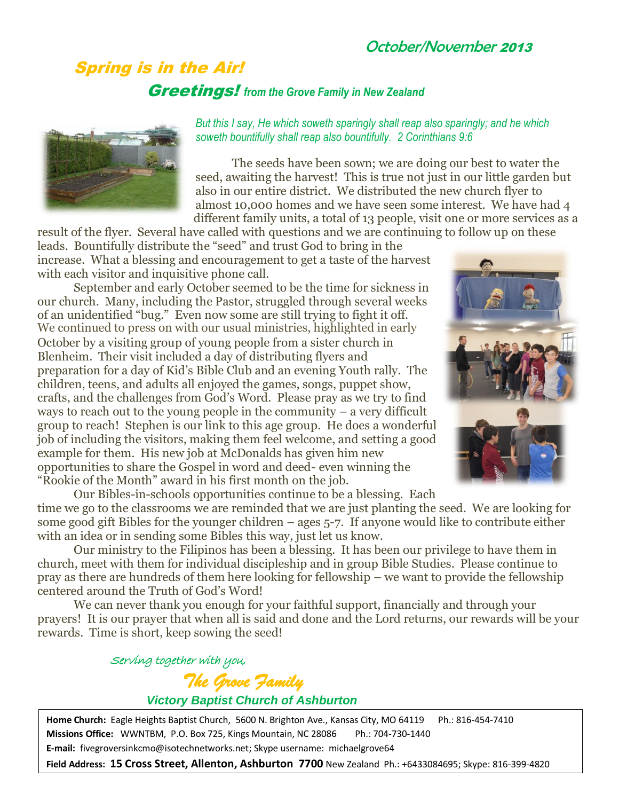## October/November 2013

## Spring is in the Air! Greetings! *from the Grove Family in New Zealand*

*But this I say, He which soweth sparingly shall reap also sparingly; and he which soweth bountifully shall reap also bountifully. 2 Corinthians 9:6*

The seeds have been sown; we are doing our best to water the seed, awaiting the harvest! This is true not just in our little garden but also in our entire district. We distributed the new church flyer to almost 10,000 homes and we have seen some interest. We have had 4 different family units, a total of 13 people, visit one or more services as a

result of the flyer. Several have called with questions and we are continuing to follow up on these leads. Bountifully distribute the "seed" and trust God to bring in the increase. What a blessing and encouragement to get a taste of the harvest with each visitor and inquisitive phone call.

September and early October seemed to be the time for sickness in our church. Many, including the Pastor, struggled through several weeks of an unidentified "bug." Even now some are still trying to fight it off. October by a visiting group of young people from a sister church in Blenheim. Their visit included a day of distributing flyers and preparation for a day of Kid's Bible Club and an evening Youth rally. The children, teens, and adults all enjoyed the games, songs, puppet show, crafts, and the challenges from God's Word. Please pray as we try to find ways to reach out to the young people in the community – a very difficult group to reach! Stephen is our link to this age group. He does a wonderful job of including the visitors, making them feel welcome, and setting a good example for them. His new job at McDonalds has given him new opportunities to share the Gospel in word and deed- even winning the "Rookie of the Month" award in his first month on the job. We continued to press on with our usual ministries, highlighted in early



Our Bibles-in-schools opportunities continue to be a blessing. Each time we go to the classrooms we are reminded that we are just planting the seed. We are looking for some good gift Bibles for the younger children  $-$  ages  $5$ -7. If anyone would like to contribute either with an idea or in sending some Bibles this way, just let us know.

Our ministry to the Filipinos has been a blessing. It has been our privilege to have them in church, meet with them for individual discipleship and in group Bible Studies. Please continue to pray as there are hundreds of them here looking for fellowship – we want to provide the fellowship centered around the Truth of God's Word!

We can never thank you enough for your faithful support, financially and through your prayers! It is our prayer that when all is said and done and the Lord returns, our rewards will be your rewards. Time is short, keep sowing the seed!

> Serving together with you, *The Grove Family Victory Baptist Church of Ashburton*

**Home Church:** Eagle Heights Baptist Church, 5600 N. Brighton Ave., Kansas City, MO 64119 Ph.: 816-454-7410 **Missions Office:** WWNTBM, P.O. Box 725, Kings Mountain, NC 28086 Ph.: 704-730-1440 **E-mail:** fivegroversinkcmo@isotechnetworks.net; Skype username: michaelgrove64

**Field Address: 15 Cross Street, Allenton, Ashburton 7700** New Zealand Ph.: +6433084695; Skype: 816-399-4820